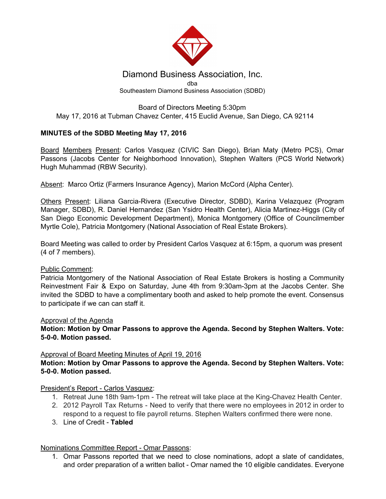

### Diamond Business Association, Inc. dba Southeastern Diamond Business Association (SDBD)

### Board of Directors Meeting 5:30pm May 17, 2016 at Tubman Chavez Center, 415 Euclid Avenue, San Diego, CA 92114

# **MINUTES of the SDBD Meeting May 17, 2016**

Board Members Present: Carlos Vasquez (CIVIC San Diego), Brian Maty (Metro PCS), Omar Passons (Jacobs Center for Neighborhood Innovation), Stephen Walters (PCS World Network) Hugh Muhammad (RBW Security).

Absent: Marco Ortiz (Farmers Insurance Agency), Marion McCord (Alpha Center).

Others Present: Liliana Garcia-Rivera (Executive Director, SDBD), Karina Velazquez (Program Manager, SDBD), R. Daniel Hernandez (San Ysidro Health Center), Alicia Martinez-Higgs (City of San Diego Economic Development Department), Monica Montgomery (Office of Councilmember Myrtle Cole), Patricia Montgomery (National Association of Real Estate Brokers).

Board Meeting was called to order by President Carlos Vasquez at 6:15pm, a quorum was present (4 of 7 members).

# Public Comment:

Patricia Montgomery of the National Association of Real Estate Brokers is hosting a Community Reinvestment Fair & Expo on Saturday, June 4th from 9:30am-3pm at the Jacobs Center. She invited the SDBD to have a complimentary booth and asked to help promote the event. Consensus to participate if we can can staff it.

#### Approval of the Agenda

**Motion: Motion by Omar Passons to approve the Agenda. Second by Stephen Walters. Vote: 5-0-0. Motion passed.**

#### Approval of Board Meeting Minutes of April 19, 2016

### **Motion: Motion by Omar Passons to approve the Agenda. Second by Stephen Walters. Vote: 5-0-0. Motion passed.**

# President's Report - Carlos Vasquez:

- 1. Retreat June 18th 9am-1pm The retreat will take place at the King-Chavez Health Center.
- 2. 2012 Payroll Tax Returns Need to verify that there were no employees in 2012 in order to respond to a request to file payroll returns. Stephen Walters confirmed there were none.
- 3. Line of Credit **Tabled**

# Nominations Committee Report - Omar Passons:

1. Omar Passons reported that we need to close nominations, adopt a slate of candidates, and order preparation of a written ballot - Omar named the 10 eligible candidates. Everyone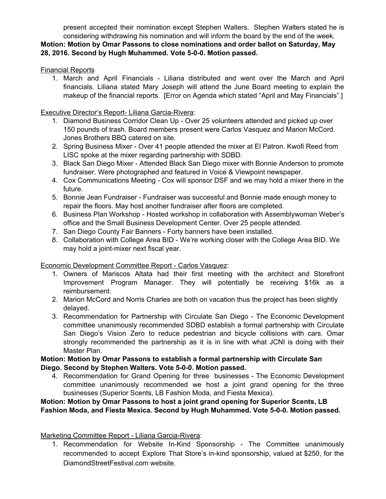present accepted their nomination except Stephen Walters. Stephen Walters stated he is considering withdrawing his nomination and will inform the board by the end of the week. **Motion: Motion by Omar Passons to close nominations and order ballot on Saturday, May 28, 2016. Second by Hugh Muhammed. Vote 5-0-0. Motion passed.**

### Financial Reports

1. March and April Financials - Liliana distributed and went over the March and April financials. Liliana stated Mary Joseph will attend the June Board meeting to explain the makeup of the financial reports. [Error on Agenda which stated "April and May Financials".]

### Executive Director's Report- Liliana Garcia-Rivera:

- 1. Diamond Business Corridor Clean Up Over 25 volunteers attended and picked up over 150 pounds of trash. Board members present were Carlos Vasquez and Marion McCord. Jones Brothers BBQ catered on site.
- 2. Spring Business Mixer Over 41 people attended the mixer at El Patron. Kwofi Reed from LISC spoke at the mixer regarding partnership with SDBD.
- 3. Black San Diego Mixer Attended Black San Diego mixer with Bonnie Anderson to promote fundraiser. Were photographed and featured in Voice & Viewpoint newspaper.
- 4. Cox Communications Meeting Cox will sponsor DSF and we may hold a mixer there in the future.
- 5. Bonnie Jean Fundraiser Fundraiser was successful and Bonnie made enough money to repair the floors. May host another fundraiser after floors are completed.
- 6. Business Plan Workshop Hosted workshop in collaboration with Assemblywoman Weber's office and the Small Business Development Center. Over 25 people attended.
- 7. San Diego County Fair Banners Forty banners have been installed.
- 8. Collaboration with College Area BID We're working closer with the College Area BID. We may hold a joint-mixer next fiscal year.

#### Economic Development Committee Report - Carlos Vasquez:

- 1. Owners of Mariscos Altata had their first meeting with the architect and Storefront Improvement Program Manager. They will potentially be receiving \$16k as a reimbursement.
- 2. Marion McCord and Norris Charles are both on vacation thus the project has been slightly delayed.
- 3. Recommendation for Partnership with Circulate San Diego The Economic Development committee unanimously recommended SDBD establish a formal partnership with Circulate San Diego's Vision Zero to reduce pedestrian and bicycle collisions with cars. Omar strongly recommended the partnership as it is in line with what JCNI is doing with their Master Plan.

### **Motion: Motion by Omar Passons to establish a formal partnership with Circulate San Diego. Second by Stephen Walters. Vote 5-0-0. Motion passed.**

4. Recommendation for Grand Opening for three businesses - The Economic Development committee unanimously recommended we host a joint grand opening for the three businesses (Superior Scents, LB Fashion Moda, and Fiesta Mexica).

# **Motion: Motion by Omar Passons to host a joint grand opening for Superior Scents, LB Fashion Moda, and Fiesta Mexica. Second by Hugh Muhammed. Vote 5-0-0. Motion passed.**

# Marketing Committee Report - Liliana Garcia-Rivera:

1. Recommendation for Website In-Kind Sponsorship - The Committee unanimously recommended to accept Explore That Store's in-kind sponsorship, valued at \$250, for the DiamondStreetFestival.com website.